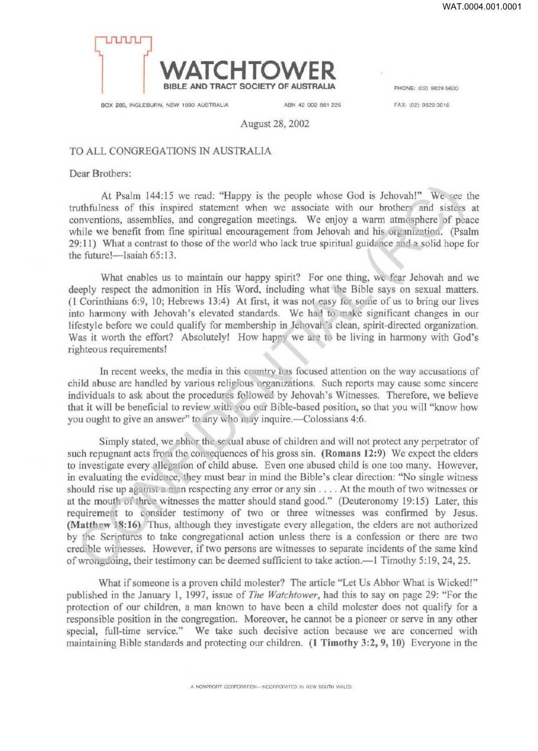

BOX 280, INGLEBURN, NSW 1890 AUSTRALIA ABN 42 002 861 225 FAX: 102) 9829 3616

August 28, 2002

## TO ALL CONGREGATIONS IN AUSTRALIA

Dear Brothers:

At Psalm 144:15 we read: "Happy is the people whose God is Jehovah!" We see the truthfulness of this inspired statement when we associate with our brothers and sisters at conventions, assemblies, and congregation meetings. We enjoy a warm atmosphere of peace while we benefit from fine spiritual encouragement from Jehovah and his organization. (Psalm 29:11) What a contrast to those of the world who lack true spiritual guidance and a solid hope for the future!- Isaiah 65:13.

What enables us to maintain our happy spirit? For one thing, we fear Jehovah and we deeply respect the admonition in His Word, including what the Bible says on sexual matters. (1 Corinthians 6:9, 10; Hebrews 13:4) At first, it was not easy for some of us to bring our lives into harmony with Jehovah's elevated standards. We had to make significant changes in our lifestyle before we could qualify for membership in Jehovah's clean, spirit-directed organization. Was it worth the effort? Absolutely! How happy we are to be living in harmony with God's righteous requirements!

In recent weeks, the media in this country has focused attention on the way accusations of child abuse are handled by various religious organizations. Such reports may cause some sincere individuals to ask about the procedures followed by Jehovah's Witnesses. Therefore, we believe that it will be beneficial to review with you our Bible-based position, so that you will "know how you ought to give an answer" to any who may inquire.—Colossians 4:6.

Simply stated, we abhor the sexual abuse of children and will not protect any perpetrator of such repugnant acts from the consequences of his gross sin. (Romans 12:9) We expect the elders to investigate every allegation of child abuse. Even one abused child is one too many. However, in evaluating the evidence, they must bear in mind the Bible's clear direction: "No single witness should rise up against a man respecting any error or any sin  $\dots$ . At the mouth of two witnesses or at the mouth of three witnesses the matter should stand good." (Deuteronomy 19:15) Later, this requirement to consider testimony of two or three witnesses was confirmed by Jesus. (Matthew 18:16) Thus, although they investigate every allegation, the elders are not authorized by the Scriptures to take congregational action unless there is a confession or there are two cred ble witnesses. However, if two persons are witnesses to separate incidents of the same kind of wrongdoing, their testimony can be deemed sufficient to take action.—1 Timothy 5:19, 24, 25.

What if someone is a proven child molester? The article "Let Us Abhor What is Wicked!" published in the January 1, 1997, issue of *The Watchtower,* had this to say on page 29: ''For the protection of our children, a man known to have been a child molester does not qualify for a responsible position in the congregation. Moreover, he cannot be a pioneer or serve in any other special, full-time service." We take such decisive action because we are concerned with maintaining Bible standards and protecting our children. (1 Timothy 3:2, 9, 10) Everyone in the